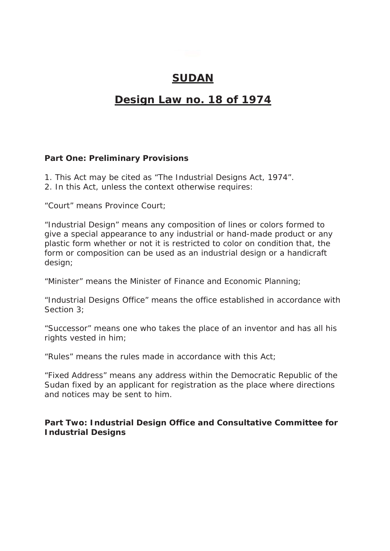## **SUDAN**

## **Design Law no. 18 of 1974**

**Part One: Preliminary Provisions**

- 1. This Act may be cited as "The Industrial Designs Act, 1974".
- 2. In this Act, unless the context otherwise requires:

"Court" means Province Court;

"Industrial Design" means any composition of lines or colors formed to give a special appearance to any industrial or hand-made product or any plastic form whether or not it is restricted to color on condition that, the form or composition can be used as an industrial design or a handicraft design;

"Minister" means the Minister of Finance and Economic Planning;

"Industrial Designs Office" means the office established in accordance with Section 3;

"Successor" means one who takes the place of an inventor and has all his rights vested in him;

"Rules" means the rules made in accordance with this Act;

"Fixed Address" means any address within the Democratic Republic of the Sudan fixed by an applicant for registration as the place where directions and notices may be sent to him.

**Part Two: Industrial Design Office and Consultative Committee for Industrial Designs**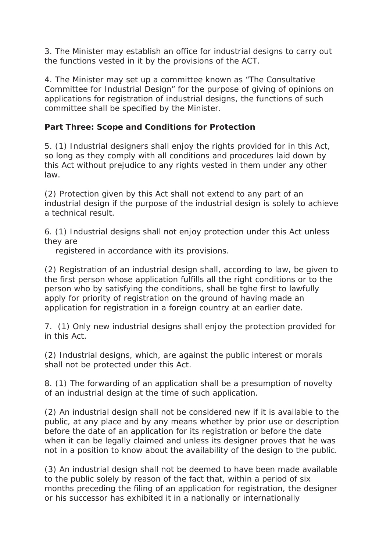3. The Minister may establish an office for industrial designs to carry out the functions vested in it by the provisions of the ACT.

4. The Minister may set up a committee known as "The Consultative Committee for Industrial Design" for the purpose of giving of opinions on applications for registration of industrial designs, the functions of such committee shall be specified by the Minister.

**Part Three: Scope and Conditions for Protection**

5. (1) Industrial designers shall enjoy the rights provided for in this Act, so long as they comply with all conditions and procedures laid down by this Act without prejudice to any rights vested in them under any other law.

(2) Protection given by this Act shall not extend to any part of an industrial design if the purpose of the industrial design is solely to achieve a technical result.

6. (1) Industrial designs shall not enjoy protection under this Act unless they are

registered in accordance with its provisions.

(2) Registration of an industrial design shall, according to law, be given to the first person whose application fulfills all the right conditions or to the person who by satisfying the conditions, shall be tghe first to lawfully apply for priority of registration on the ground of having made an application for registration in a foreign country at an earlier date.

7. (1) Only new industrial designs shall enjoy the protection provided for in this Act.

(2) Industrial designs, which, are against the public interest or morals shall not be protected under this Act.

8. (1) The forwarding of an application shall be a presumption of novelty of an industrial design at the time of such application.

(2) An industrial design shall not be considered new if it is available to the public, at any place and by any means whether by prior use or description before the date of an application for its registration or before the date when it can be legally claimed and unless its designer proves that he was not in a position to know about the availability of the design to the public.

(3) An industrial design shall not be deemed to have been made available to the public solely by reason of the fact that, within a period of six months preceding the filing of an application for registration, the designer or his successor has exhibited it in a nationally or internationally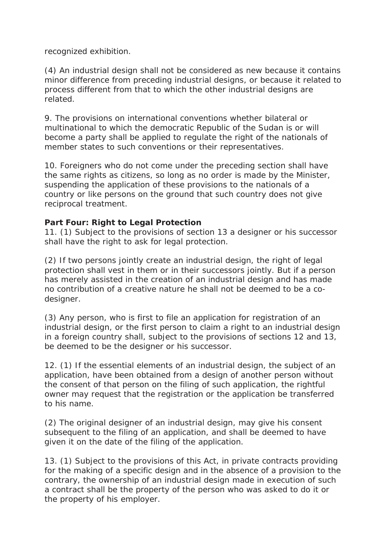recognized exhibition.

(4) An industrial design shall not be considered as new because it contains minor difference from preceding industrial designs, or because it related to process different from that to which the other industrial designs are related.

9. The provisions on international conventions whether bilateral or multinational to which the democratic Republic of the Sudan is or will become a party shall be applied to regulate the right of the nationals of member states to such conventions or their representatives.

10. Foreigners who do not come under the preceding section shall have the same rights as citizens, so long as no order is made by the Minister, suspending the application of these provisions to the nationals of a country or like persons on the ground that such country does not give reciprocal treatment.

**Part Four: Right to Legal Protection**

11. (1) Subject to the provisions of section 13 a designer or his successor shall have the right to ask for legal protection.

(2) If two persons jointly create an industrial design, the right of legal protection shall vest in them or in their successors jointly. But if a person has merely assisted in the creation of an industrial design and has made no contribution of a creative nature he shall not be deemed to be a codesigner.

(3) Any person, who is first to file an application for registration of an industrial design, or the first person to claim a right to an industrial design in a foreign country shall, subject to the provisions of sections 12 and 13, be deemed to be the designer or his successor.

12. (1) If the essential elements of an industrial design, the subject of an application, have been obtained from a design of another person without the consent of that person on the filing of such application, the rightful owner may request that the registration or the application be transferred to his name.

(2) The original designer of an industrial design, may give his consent subsequent to the filing of an application, and shall be deemed to have given it on the date of the filing of the application.

13. (1) Subject to the provisions of this Act, in private contracts providing for the making of a specific design and in the absence of a provision to the contrary, the ownership of an industrial design made in execution of such a contract shall be the property of the person who was asked to do it or the property of his employer.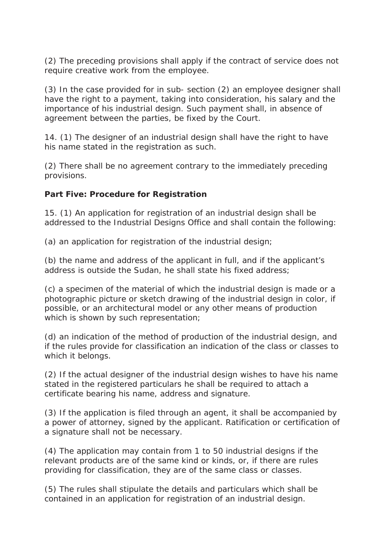(2) The preceding provisions shall apply if the contract of service does not require creative work from the employee.

(3) In the case provided for in sub- section (2) an employee designer shall have the right to a payment, taking into consideration, his salary and the importance of his industrial design. Such payment shall, in absence of agreement between the parties, be fixed by the Court.

14. (1) The designer of an industrial design shall have the right to have his name stated in the registration as such.

(2) There shall be no agreement contrary to the immediately preceding provisions.

**Part Five: Procedure for Registration**

15. (1) An application for registration of an industrial design shall be addressed to the Industrial Designs Office and shall contain the following:

(a) an application for registration of the industrial design;

(b) the name and address of the applicant in full, and if the applicant's address is outside the Sudan, he shall state his fixed address;

(c) a specimen of the material of which the industrial design is made or a photographic picture or sketch drawing of the industrial design in color, if possible, or an architectural model or any other means of production which is shown by such representation;

(d) an indication of the method of production of the industrial design, and if the rules provide for classification an indication of the class or classes to which it belongs.

(2) If the actual designer of the industrial design wishes to have his name stated in the registered particulars he shall be required to attach a certificate bearing his name, address and signature.

(3) If the application is filed through an agent, it shall be accompanied by a power of attorney, signed by the applicant. Ratification or certification of a signature shall not be necessary.

(4) The application may contain from 1 to 50 industrial designs if the relevant products are of the same kind or kinds, or, if there are rules providing for classification, they are of the same class or classes.

(5) The rules shall stipulate the details and particulars which shall be contained in an application for registration of an industrial design.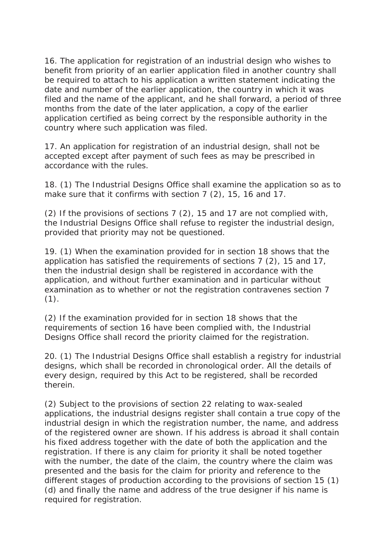16. The application for registration of an industrial design who wishes to benefit from priority of an earlier application filed in another country shall be required to attach to his application a written statement indicating the date and number of the earlier application, the country in which it was filed and the name of the applicant, and he shall forward, a period of three months from the date of the later application, a copy of the earlier application certified as being correct by the responsible authority in the country where such application was filed.

17. An application for registration of an industrial design, shall not be accepted except after payment of such fees as may be prescribed in accordance with the rules.

18. (1) The Industrial Designs Office shall examine the application so as to make sure that it confirms with section 7 (2), 15, 16 and 17.

(2) If the provisions of sections 7 (2), 15 and 17 are not complied with, the Industrial Designs Office shall refuse to register the industrial design, provided that priority may not be questioned.

19. (1) When the examination provided for in section 18 shows that the application has satisfied the requirements of sections 7 (2), 15 and 17, then the industrial design shall be registered in accordance with the application, and without further examination and in particular without examination as to whether or not the registration contravenes section 7  $(1)$ .

(2) If the examination provided for in section 18 shows that the requirements of section 16 have been complied with, the Industrial Designs Office shall record the priority claimed for the registration.

20. (1) The Industrial Designs Office shall establish a registry for industrial designs, which shall be recorded in chronological order. All the details of every design, required by this Act to be registered, shall be recorded therein.

(2) Subject to the provisions of section 22 relating to wax-sealed applications, the industrial designs register shall contain a true copy of the industrial design in which the registration number, the name, and address of the registered owner are shown. If his address is abroad it shall contain his fixed address together with the date of both the application and the registration. If there is any claim for priority it shall be noted together with the number, the date of the claim, the country where the claim was presented and the basis for the claim for priority and reference to the different stages of production according to the provisions of section 15 (1) (d) and finally the name and address of the true designer if his name is required for registration.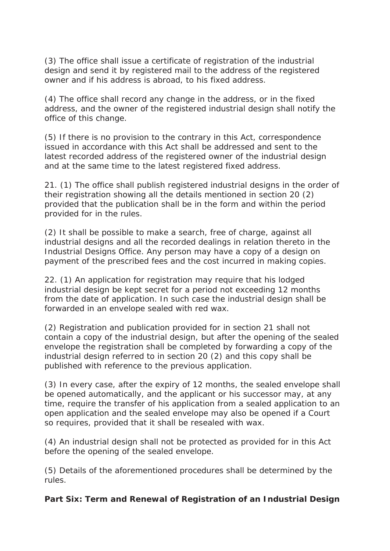(3) The office shall issue a certificate of registration of the industrial design and send it by registered mail to the address of the registered owner and if his address is abroad, to his fixed address.

(4) The office shall record any change in the address, or in the fixed address, and the owner of the registered industrial design shall notify the office of this change.

(5) If there is no provision to the contrary in this Act, correspondence issued in accordance with this Act shall be addressed and sent to the latest recorded address of the registered owner of the industrial design and at the same time to the latest registered fixed address.

21. (1) The office shall publish registered industrial designs in the order of their registration showing all the details mentioned in section 20 (2) provided that the publication shall be in the form and within the period provided for in the rules.

(2) It shall be possible to make a search, free of charge, against all industrial designs and all the recorded dealings in relation thereto in the Industrial Designs Office. Any person may have a copy of a design on payment of the prescribed fees and the cost incurred in making copies.

22. (1) An application for registration may require that his lodged industrial design be kept secret for a period not exceeding 12 months from the date of application. In such case the industrial design shall be forwarded in an envelope sealed with red wax.

(2) Registration and publication provided for in section 21 shall not contain a copy of the industrial design, but after the opening of the sealed envelope the registration shall be completed by forwarding a copy of the industrial design referred to in section 20 (2) and this copy shall be published with reference to the previous application.

(3) In every case, after the expiry of 12 months, the sealed envelope shall be opened automatically, and the applicant or his successor may, at any time, require the transfer of his application from a sealed application to an open application and the sealed envelope may also be opened if a Court so requires, provided that it shall be resealed with wax.

(4) An industrial design shall not be protected as provided for in this Act before the opening of the sealed envelope.

(5) Details of the aforementioned procedures shall be determined by the rules.

**Part Six: Term and Renewal of Registration of an Industrial Design**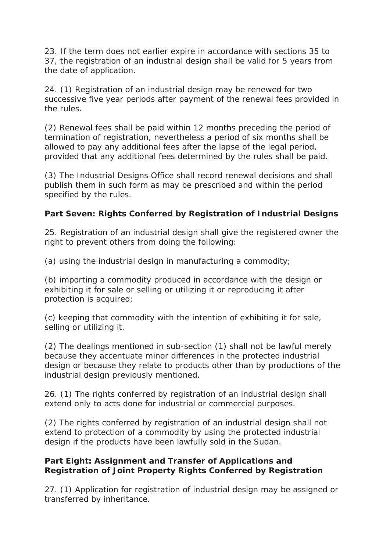23. If the term does not earlier expire in accordance with sections 35 to 37, the registration of an industrial design shall be valid for 5 years from the date of application.

24. (1) Registration of an industrial design may be renewed for two successive five year periods after payment of the renewal fees provided in the rules.

(2) Renewal fees shall be paid within 12 months preceding the period of termination of registration, nevertheless a period of six months shall be allowed to pay any additional fees after the lapse of the legal period, provided that any additional fees determined by the rules shall be paid.

(3) The Industrial Designs Office shall record renewal decisions and shall publish them in such form as may be prescribed and within the period specified by the rules.

**Part Seven: Rights Conferred by Registration of Industrial Designs**

25. Registration of an industrial design shall give the registered owner the right to prevent others from doing the following:

(a) using the industrial design in manufacturing a commodity;

(b) importing a commodity produced in accordance with the design or exhibiting it for sale or selling or utilizing it or reproducing it after protection is acquired;

(c) keeping that commodity with the intention of exhibiting it for sale, selling or utilizing it.

(2) The dealings mentioned in sub-section (1) shall not be lawful merely because they accentuate minor differences in the protected industrial design or because they relate to products other than by productions of the industrial design previously mentioned.

26. (1) The rights conferred by registration of an industrial design shall extend only to acts done for industrial or commercial purposes.

(2) The rights conferred by registration of an industrial design shall not extend to protection of a commodity by using the protected industrial design if the products have been lawfully sold in the Sudan.

**Part Eight: Assignment and Transfer of Applications and Registration of Joint Property Rights Conferred by Registration**

27. (1) Application for registration of industrial design may be assigned or transferred by inheritance.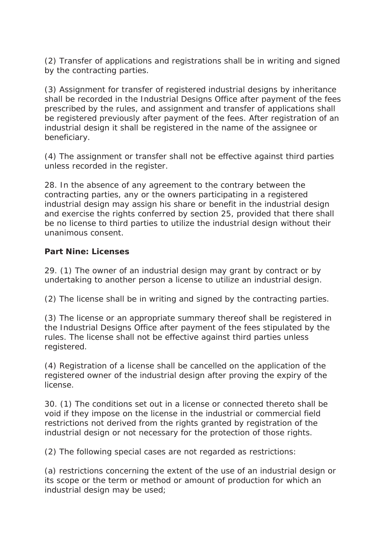(2) Transfer of applications and registrations shall be in writing and signed by the contracting parties.

(3) Assignment for transfer of registered industrial designs by inheritance shall be recorded in the Industrial Designs Office after payment of the fees prescribed by the rules, and assignment and transfer of applications shall be registered previously after payment of the fees. After registration of an industrial design it shall be registered in the name of the assignee or beneficiary.

(4) The assignment or transfer shall not be effective against third parties unless recorded in the register.

28. In the absence of any agreement to the contrary between the contracting parties, any or the owners participating in a registered industrial design may assign his share or benefit in the industrial design and exercise the rights conferred by section 25, provided that there shall be no license to third parties to utilize the industrial design without their unanimous consent.

**Part Nine: Licenses**

29. (1) The owner of an industrial design may grant by contract or by undertaking to another person a license to utilize an industrial design.

(2) The license shall be in writing and signed by the contracting parties.

(3) The license or an appropriate summary thereof shall be registered in the Industrial Designs Office after payment of the fees stipulated by the rules. The license shall not be effective against third parties unless registered.

(4) Registration of a license shall be cancelled on the application of the registered owner of the industrial design after proving the expiry of the license.

30. (1) The conditions set out in a license or connected thereto shall be void if they impose on the license in the industrial or commercial field restrictions not derived from the rights granted by registration of the industrial design or not necessary for the protection of those rights.

(2) The following special cases are not regarded as restrictions:

(a) restrictions concerning the extent of the use of an industrial design or its scope or the term or method or amount of production for which an industrial design may be used;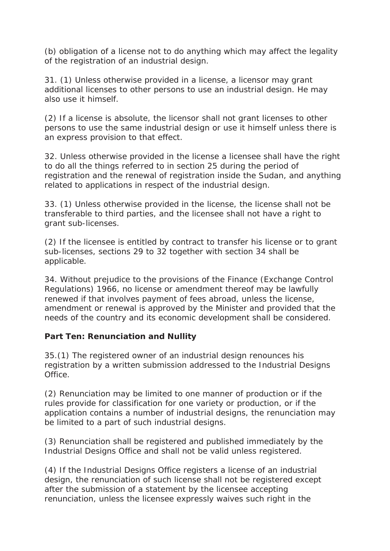(b) obligation of a license not to do anything which may affect the legality of the registration of an industrial design.

31. (1) Unless otherwise provided in a license, a licensor may grant additional licenses to other persons to use an industrial design. He may also use it himself.

(2) If a license is absolute, the licensor shall not grant licenses to other persons to use the same industrial design or use it himself unless there is an express provision to that effect.

32. Unless otherwise provided in the license a licensee shall have the right to do all the things referred to in section 25 during the period of registration and the renewal of registration inside the Sudan, and anything related to applications in respect of the industrial design.

33. (1) Unless otherwise provided in the license, the license shall not be transferable to third parties, and the licensee shall not have a right to grant sub-licenses.

(2) If the licensee is entitled by contract to transfer his license or to grant sub-licenses, sections 29 to 32 together with section 34 shall be applicable.

34. Without prejudice to the provisions of the Finance (Exchange Control Regulations) 1966, no license or amendment thereof may be lawfully renewed if that involves payment of fees abroad, unless the license, amendment or renewal is approved by the Minister and provided that the needs of the country and its economic development shall be considered.

**Part Ten: Renunciation and Nullity**

35.(1) The registered owner of an industrial design renounces his registration by a written submission addressed to the Industrial Designs Office.

(2) Renunciation may be limited to one manner of production or if the rules provide for classification for one variety or production, or if the application contains a number of industrial designs, the renunciation may be limited to a part of such industrial designs.

(3) Renunciation shall be registered and published immediately by the Industrial Designs Office and shall not be valid unless registered.

(4) If the Industrial Designs Office registers a license of an industrial design, the renunciation of such license shall not be registered except after the submission of a statement by the licensee accepting renunciation, unless the licensee expressly waives such right in the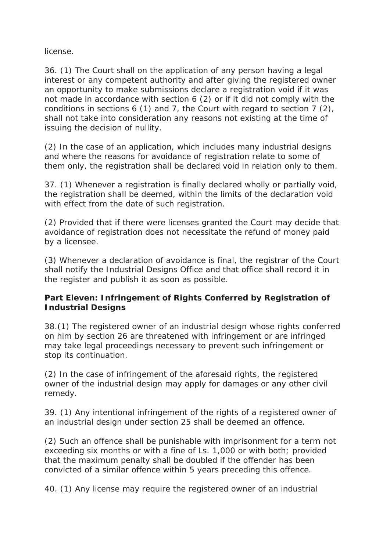license.

36. (1) The Court shall on the application of any person having a legal interest or any competent authority and after giving the registered owner an opportunity to make submissions declare a registration void if it was not made in accordance with section 6 (2) or if it did not comply with the conditions in sections 6 (1) and 7, the Court with regard to section 7 (2), shall not take into consideration any reasons not existing at the time of issuing the decision of nullity.

(2) In the case of an application, which includes many industrial designs and where the reasons for avoidance of registration relate to some of them only, the registration shall be declared void in relation only to them.

37. (1) Whenever a registration is finally declared wholly or partially void, the registration shall be deemed, within the limits of the declaration void with effect from the date of such registration.

(2) Provided that if there were licenses granted the Court may decide that avoidance of registration does not necessitate the refund of money paid by a licensee.

(3) Whenever a declaration of avoidance is final, the registrar of the Court shall notify the Industrial Designs Office and that office shall record it in the register and publish it as soon as possible.

**Part Eleven: Infringement of Rights Conferred by Registration of Industrial Designs**

38.(1) The registered owner of an industrial design whose rights conferred on him by section 26 are threatened with infringement or are infringed may take legal proceedings necessary to prevent such infringement or stop its continuation.

(2) In the case of infringement of the aforesaid rights, the registered owner of the industrial design may apply for damages or any other civil remedy.

39. (1) Any intentional infringement of the rights of a registered owner of an industrial design under section 25 shall be deemed an offence.

(2) Such an offence shall be punishable with imprisonment for a term not exceeding six months or with a fine of Ls. 1,000 or with both; provided that the maximum penalty shall be doubled if the offender has been convicted of a similar offence within 5 years preceding this offence.

40. (1) Any license may require the registered owner of an industrial